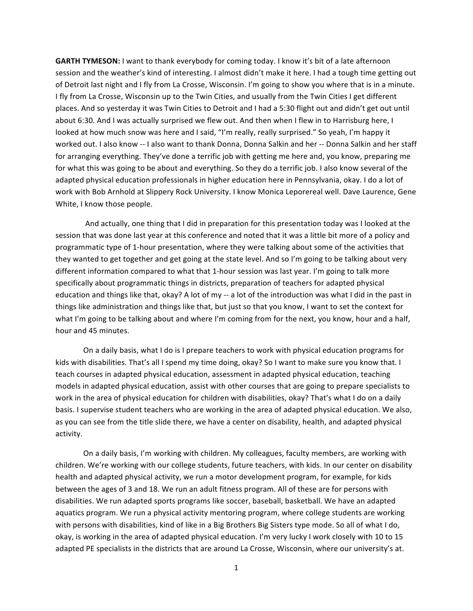**GARTH TYMESON:** I want to thank everybody for coming today. I know it's bit of a late afternoon session and the weather's kind of interesting. I almost didn't make it here. I had a tough time getting out of Detroit last night and I fly from La Crosse, Wisconsin. I'm going to show you where that is in a minute. I fly from La Crosse, Wisconsin up to the Twin Cities, and usually from the Twin Cities I get different places. And so yesterday it was Twin Cities to Detroit and I had a 5:30 flight out and didn't get out until about 6:30. And I was actually surprised we flew out. And then when I flew in to Harrisburg here, I looked at how much snow was here and I said, "I'm really, really surprised." So yeah, I'm happy it worked out. I also know -- I also want to thank Donna, Donna Salkin and her -- Donna Salkin and her staff for arranging everything. They've done a terrific job with getting me here and, you know, preparing me for what this was going to be about and everything. So they do a terrific job. I also know several of the adapted physical education professionals in higher education here in Pennsylvania, okay. I do a lot of work with Bob Arnhold at Slippery Rock University. I know Monica Leporereal well. Dave Laurence, Gene White, I know those people.

And actually, one thing that I did in preparation for this presentation today was I looked at the session that was done last year at this conference and noted that it was a little bit more of a policy and programmatic type of 1-hour presentation, where they were talking about some of the activities that they wanted to get together and get going at the state level. And so I'm going to be talking about very different information compared to what that 1-hour session was last year. I'm going to talk more specifically about programmatic things in districts, preparation of teachers for adapted physical education and things like that, okay? A lot of my -- a lot of the introduction was what I did in the past in things like administration and things like that, but just so that you know, I want to set the context for what I'm going to be talking about and where I'm coming from for the next, you know, hour and a half, hour and 45 minutes.

On a daily basis, what I do is I prepare teachers to work with physical education programs for kids with disabilities. That's all I spend my time doing, okay? So I want to make sure you know that. I teach courses in adapted physical education, assessment in adapted physical education, teaching models in adapted physical education, assist with other courses that are going to prepare specialists to work in the area of physical education for children with disabilities, okay? That's what I do on a daily basis. I supervise student teachers who are working in the area of adapted physical education. We also, as you can see from the title slide there, we have a center on disability, health, and adapted physical activity.

On a daily basis, I'm working with children. My colleagues, faculty members, are working with children. We're working with our college students, future teachers, with kids. In our center on disability health and adapted physical activity, we run a motor development program, for example, for kids between the ages of 3 and 18. We run an adult fitness program. All of these are for persons with disabilities. We run adapted sports programs like soccer, baseball, basketball. We have an adapted aquatics program. We run a physical activity mentoring program, where college students are working with persons with disabilities, kind of like in a Big Brothers Big Sisters type mode. So all of what I do, okay, is working in the area of adapted physical education. I'm very lucky I work closely with 10 to 15 adapted PE specialists in the districts that are around La Crosse, Wisconsin, where our university's at.

1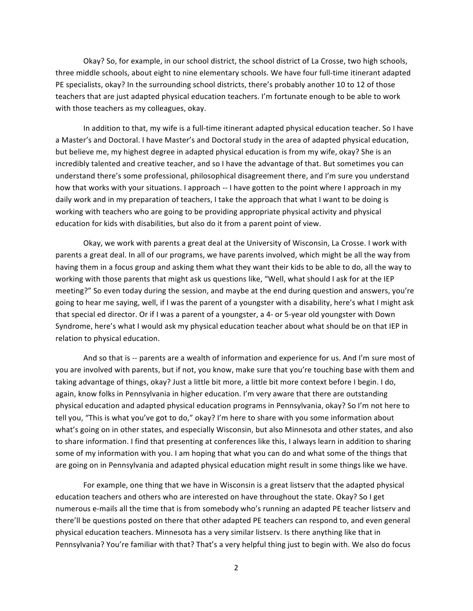Okay? So, for example, in our school district, the school district of La Crosse, two high schools, three middle schools, about eight to nine elementary schools. We have four full-time itinerant adapted PE specialists, okay? In the surrounding school districts, there's probably another 10 to 12 of those teachers that are just adapted physical education teachers. I'm fortunate enough to be able to work with those teachers as my colleagues, okay.

In addition to that, my wife is a full-time itinerant adapted physical education teacher. So I have a Master's and Doctoral. I have Master's and Doctoral study in the area of adapted physical education, but believe me, my highest degree in adapted physical education is from my wife, okay? She is an incredibly talented and creative teacher, and so I have the advantage of that. But sometimes you can understand there's some professional, philosophical disagreement there, and I'm sure you understand how that works with your situations. I approach -- I have gotten to the point where I approach in my daily work and in my preparation of teachers, I take the approach that what I want to be doing is working with teachers who are going to be providing appropriate physical activity and physical education for kids with disabilities, but also do it from a parent point of view.

Okay, we work with parents a great deal at the University of Wisconsin, La Crosse. I work with parents a great deal. In all of our programs, we have parents involved, which might be all the way from having them in a focus group and asking them what they want their kids to be able to do, all the way to working with those parents that might ask us questions like, "Well, what should I ask for at the IEP meeting?" So even today during the session, and maybe at the end during question and answers, you're going to hear me saying, well, if I was the parent of a youngster with a disability, here's what I might ask that special ed director. Or if I was a parent of a youngster, a 4- or 5-year old youngster with Down Syndrome, here's what I would ask my physical education teacher about what should be on that IEP in relation to physical education.

And so that is -- parents are a wealth of information and experience for us. And I'm sure most of you are involved with parents, but if not, you know, make sure that you're touching base with them and taking advantage of things, okay? Just a little bit more, a little bit more context before I begin. I do, again, know folks in Pennsylvania in higher education. I'm very aware that there are outstanding physical education and adapted physical education programs in Pennsylvania, okay? So I'm not here to tell you, "This is what you've got to do," okay? I'm here to share with you some information about what's going on in other states, and especially Wisconsin, but also Minnesota and other states, and also to share information. I find that presenting at conferences like this, I always learn in addition to sharing some of my information with you. I am hoping that what you can do and what some of the things that are going on in Pennsylvania and adapted physical education might result in some things like we have.

For example, one thing that we have in Wisconsin is a great listserv that the adapted physical education teachers and others who are interested on have throughout the state. Okay? So I get numerous e-mails all the time that is from somebody who's running an adapted PE teacher listserv and there'll be questions posted on there that other adapted PE teachers can respond to, and even general physical education teachers. Minnesota has a very similar listserv. Is there anything like that in Pennsylvania? You're familiar with that? That's a very helpful thing just to begin with. We also do focus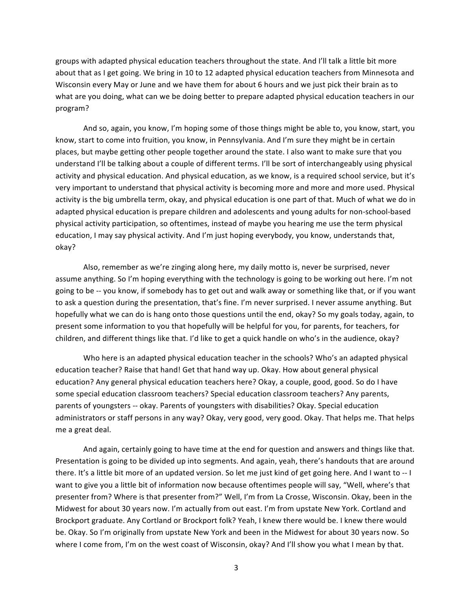groups with adapted physical education teachers throughout the state. And I'll talk a little bit more about that as I get going. We bring in 10 to 12 adapted physical education teachers from Minnesota and Wisconsin every May or June and we have them for about 6 hours and we just pick their brain as to what are you doing, what can we be doing better to prepare adapted physical education teachers in our program?

And so, again, you know, I'm hoping some of those things might be able to, you know, start, you know, start to come into fruition, you know, in Pennsylvania. And I'm sure they might be in certain places, but maybe getting other people together around the state. I also want to make sure that you understand I'll be talking about a couple of different terms. I'll be sort of interchangeably using physical activity and physical education. And physical education, as we know, is a required school service, but it's very important to understand that physical activity is becoming more and more and more used. Physical activity is the big umbrella term, okay, and physical education is one part of that. Much of what we do in adapted physical education is prepare children and adolescents and young adults for non-school-based physical activity participation, so oftentimes, instead of maybe you hearing me use the term physical education, I may say physical activity. And I'm just hoping everybody, you know, understands that, okay?

Also, remember as we're zinging along here, my daily motto is, never be surprised, never assume anything. So I'm hoping everything with the technology is going to be working out here. I'm not going to be -- you know, if somebody has to get out and walk away or something like that, or if you want to ask a question during the presentation, that's fine. I'm never surprised. I never assume anything. But hopefully what we can do is hang onto those questions until the end, okay? So my goals today, again, to present some information to you that hopefully will be helpful for you, for parents, for teachers, for children, and different things like that. I'd like to get a quick handle on who's in the audience, okay?

Who here is an adapted physical education teacher in the schools? Who's an adapted physical education teacher? Raise that hand! Get that hand way up. Okay. How about general physical education? Any general physical education teachers here? Okay, a couple, good, good. So do I have some special education classroom teachers? Special education classroom teachers? Any parents, parents of youngsters -- okay. Parents of youngsters with disabilities? Okay. Special education administrators or staff persons in any way? Okay, very good, very good. Okay. That helps me. That helps me a great deal.

And again, certainly going to have time at the end for question and answers and things like that. Presentation is going to be divided up into segments. And again, yeah, there's handouts that are around there. It's a little bit more of an updated version. So let me just kind of get going here. And I want to -- I want to give you a little bit of information now because oftentimes people will say, "Well, where's that presenter from? Where is that presenter from?" Well, I'm from La Crosse, Wisconsin. Okay, been in the Midwest for about 30 years now. I'm actually from out east. I'm from upstate New York. Cortland and Brockport graduate. Any Cortland or Brockport folk? Yeah, I knew there would be. I knew there would be. Okay. So I'm originally from upstate New York and been in the Midwest for about 30 years now. So where I come from, I'm on the west coast of Wisconsin, okay? And I'll show you what I mean by that.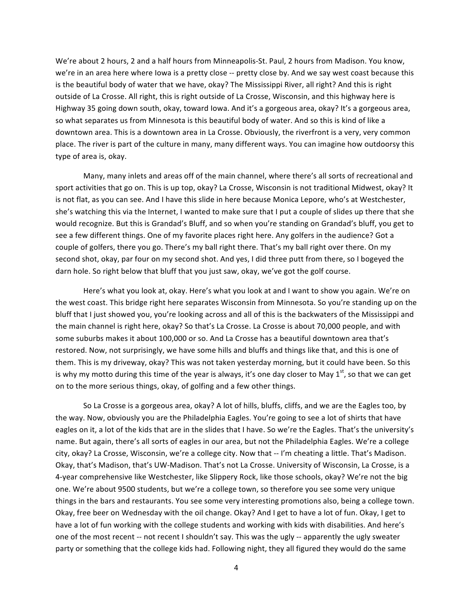We're about 2 hours, 2 and a half hours from Minneapolis-St. Paul, 2 hours from Madison. You know, we're in an area here where Iowa is a pretty close -- pretty close by. And we say west coast because this is the beautiful body of water that we have, okay? The Mississippi River, all right? And this is right outside of La Crosse. All right, this is right outside of La Crosse, Wisconsin, and this highway here is Highway 35 going down south, okay, toward Iowa. And it's a gorgeous area, okay? It's a gorgeous area, so what separates us from Minnesota is this beautiful body of water. And so this is kind of like a downtown area. This is a downtown area in La Crosse. Obviously, the riverfront is a very, very common place. The river is part of the culture in many, many different ways. You can imagine how outdoorsy this type of area is, okay.

Many, many inlets and areas off of the main channel, where there's all sorts of recreational and sport activities that go on. This is up top, okay? La Crosse, Wisconsin is not traditional Midwest, okay? It is not flat, as you can see. And I have this slide in here because Monica Lepore, who's at Westchester, she's watching this via the Internet, I wanted to make sure that I put a couple of slides up there that she would recognize. But this is Grandad's Bluff, and so when you're standing on Grandad's bluff, you get to see a few different things. One of my favorite places right here. Any golfers in the audience? Got a couple of golfers, there you go. There's my ball right there. That's my ball right over there. On my second shot, okay, par four on my second shot. And yes, I did three putt from there, so I bogeyed the darn hole. So right below that bluff that you just saw, okay, we've got the golf course.

Here's what you look at, okay. Here's what you look at and I want to show you again. We're on the west coast. This bridge right here separates Wisconsin from Minnesota. So you're standing up on the bluff that I just showed you, you're looking across and all of this is the backwaters of the Mississippi and the main channel is right here, okay? So that's La Crosse. La Crosse is about 70,000 people, and with some suburbs makes it about 100,000 or so. And La Crosse has a beautiful downtown area that's restored. Now, not surprisingly, we have some hills and bluffs and things like that, and this is one of them. This is my driveway, okay? This was not taken yesterday morning, but it could have been. So this is why my motto during this time of the year is always, it's one day closer to May  $1<sup>st</sup>$ , so that we can get on to the more serious things, okay, of golfing and a few other things.

So La Crosse is a gorgeous area, okay? A lot of hills, bluffs, cliffs, and we are the Eagles too, by the way. Now, obviously you are the Philadelphia Eagles. You're going to see a lot of shirts that have eagles on it, a lot of the kids that are in the slides that I have. So we're the Eagles. That's the university's name. But again, there's all sorts of eagles in our area, but not the Philadelphia Eagles. We're a college city, okay? La Crosse, Wisconsin, we're a college city. Now that -- I'm cheating a little. That's Madison. Okay, that's Madison, that's UW-Madison. That's not La Crosse. University of Wisconsin, La Crosse, is a 4-year comprehensive like Westchester, like Slippery Rock, like those schools, okay? We're not the big one. We're about 9500 students, but we're a college town, so therefore you see some very unique things in the bars and restaurants. You see some very interesting promotions also, being a college town. Okay, free beer on Wednesday with the oil change. Okay? And I get to have a lot of fun. Okay, I get to have a lot of fun working with the college students and working with kids with disabilities. And here's one of the most recent -- not recent I shouldn't say. This was the ugly -- apparently the ugly sweater party or something that the college kids had. Following night, they all figured they would do the same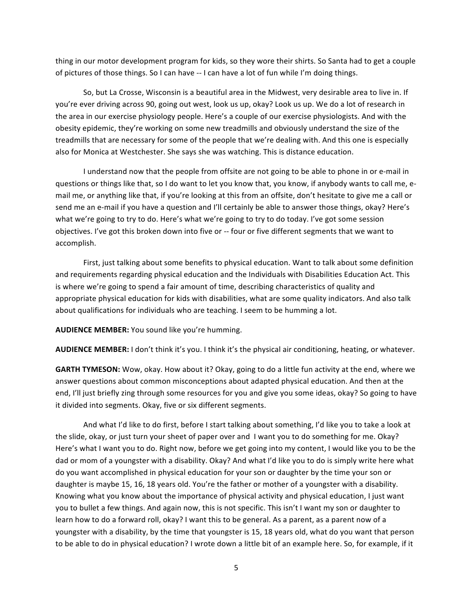thing in our motor development program for kids, so they wore their shirts. So Santa had to get a couple of pictures of those things. So I can have -- I can have a lot of fun while I'm doing things.

So, but La Crosse, Wisconsin is a beautiful area in the Midwest, very desirable area to live in. If you're ever driving across 90, going out west, look us up, okay? Look us up. We do a lot of research in the area in our exercise physiology people. Here's a couple of our exercise physiologists. And with the obesity epidemic, they're working on some new treadmills and obviously understand the size of the treadmills that are necessary for some of the people that we're dealing with. And this one is especially also for Monica at Westchester. She says she was watching. This is distance education.

I understand now that the people from offsite are not going to be able to phone in or e-mail in questions or things like that, so I do want to let you know that, you know, if anybody wants to call me, email me, or anything like that, if you're looking at this from an offsite, don't hesitate to give me a call or send me an e-mail if you have a question and I'll certainly be able to answer those things, okay? Here's what we're going to try to do. Here's what we're going to try to do today. I've got some session objectives. I've got this broken down into five or -- four or five different segments that we want to accomplish.

First, just talking about some benefits to physical education. Want to talk about some definition and requirements regarding physical education and the Individuals with Disabilities Education Act. This is where we're going to spend a fair amount of time, describing characteristics of quality and appropriate physical education for kids with disabilities, what are some quality indicators. And also talk about qualifications for individuals who are teaching. I seem to be humming a lot.

AUDIENCE MEMBER: You sound like you're humming.

**AUDIENCE MEMBER:** I don't think it's you. I think it's the physical air conditioning, heating, or whatever.

GARTH TYMESON: Wow, okay. How about it? Okay, going to do a little fun activity at the end, where we answer questions about common misconceptions about adapted physical education. And then at the end, I'll just briefly zing through some resources for you and give you some ideas, okay? So going to have it divided into segments. Okay, five or six different segments.

And what I'd like to do first, before I start talking about something, I'd like you to take a look at the slide, okay, or just turn your sheet of paper over and I want you to do something for me. Okay? Here's what I want you to do. Right now, before we get going into my content, I would like you to be the dad or mom of a youngster with a disability. Okay? And what I'd like you to do is simply write here what do you want accomplished in physical education for your son or daughter by the time your son or daughter is maybe 15, 16, 18 years old. You're the father or mother of a youngster with a disability. Knowing what you know about the importance of physical activity and physical education, I just want you to bullet a few things. And again now, this is not specific. This isn't I want my son or daughter to learn how to do a forward roll, okay? I want this to be general. As a parent, as a parent now of a youngster with a disability, by the time that youngster is 15, 18 years old, what do you want that person to be able to do in physical education? I wrote down a little bit of an example here. So, for example, if it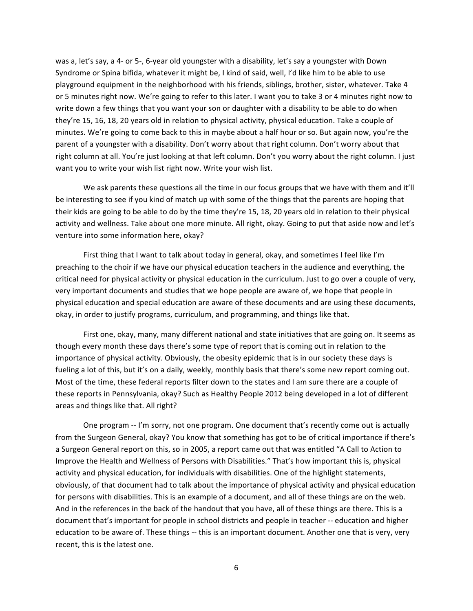was a, let's say, a 4- or 5-, 6-year old youngster with a disability, let's say a youngster with Down Syndrome or Spina bifida, whatever it might be, I kind of said, well, I'd like him to be able to use playground equipment in the neighborhood with his friends, siblings, brother, sister, whatever. Take 4 or 5 minutes right now. We're going to refer to this later. I want you to take 3 or 4 minutes right now to write down a few things that you want your son or daughter with a disability to be able to do when they're 15, 16, 18, 20 years old in relation to physical activity, physical education. Take a couple of minutes. We're going to come back to this in maybe about a half hour or so. But again now, you're the parent of a youngster with a disability. Don't worry about that right column. Don't worry about that right column at all. You're just looking at that left column. Don't you worry about the right column. I just want you to write your wish list right now. Write your wish list.

We ask parents these questions all the time in our focus groups that we have with them and it'll be interesting to see if you kind of match up with some of the things that the parents are hoping that their kids are going to be able to do by the time they're 15, 18, 20 years old in relation to their physical activity and wellness. Take about one more minute. All right, okay. Going to put that aside now and let's venture into some information here, okay?

First thing that I want to talk about today in general, okay, and sometimes I feel like I'm preaching to the choir if we have our physical education teachers in the audience and everything, the critical need for physical activity or physical education in the curriculum. Just to go over a couple of very, very important documents and studies that we hope people are aware of, we hope that people in physical education and special education are aware of these documents and are using these documents, okay, in order to justify programs, curriculum, and programming, and things like that.

First one, okay, many, many different national and state initiatives that are going on. It seems as though every month these days there's some type of report that is coming out in relation to the importance of physical activity. Obviously, the obesity epidemic that is in our society these days is fueling a lot of this, but it's on a daily, weekly, monthly basis that there's some new report coming out. Most of the time, these federal reports filter down to the states and I am sure there are a couple of these reports in Pennsylvania, okay? Such as Healthy People 2012 being developed in a lot of different areas and things like that. All right?

One program -- I'm sorry, not one program. One document that's recently come out is actually from the Surgeon General, okay? You know that something has got to be of critical importance if there's a Surgeon General report on this, so in 2005, a report came out that was entitled "A Call to Action to Improve the Health and Wellness of Persons with Disabilities." That's how important this is, physical activity and physical education, for individuals with disabilities. One of the highlight statements, obviously, of that document had to talk about the importance of physical activity and physical education for persons with disabilities. This is an example of a document, and all of these things are on the web. And in the references in the back of the handout that you have, all of these things are there. This is a document that's important for people in school districts and people in teacher -- education and higher education to be aware of. These things -- this is an important document. Another one that is very, very recent, this is the latest one.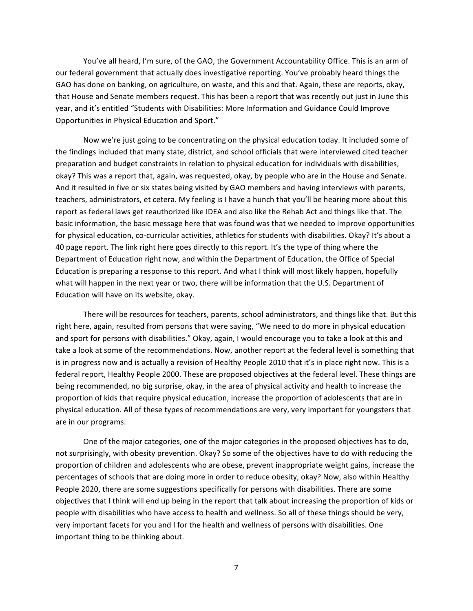You've all heard, I'm sure, of the GAO, the Government Accountability Office. This is an arm of our federal government that actually does investigative reporting. You've probably heard things the GAO has done on banking, on agriculture, on waste, and this and that. Again, these are reports, okay, that House and Senate members request. This has been a report that was recently out just in June this year, and it's entitled "Students with Disabilities: More Information and Guidance Could Improve Opportunities in Physical Education and Sport."

Now we're just going to be concentrating on the physical education today. It included some of the findings included that many state, district, and school officials that were interviewed cited teacher preparation and budget constraints in relation to physical education for individuals with disabilities, okay? This was a report that, again, was requested, okay, by people who are in the House and Senate. And it resulted in five or six states being visited by GAO members and having interviews with parents, teachers, administrators, et cetera. My feeling is I have a hunch that you'll be hearing more about this report as federal laws get reauthorized like IDEA and also like the Rehab Act and things like that. The basic information, the basic message here that was found was that we needed to improve opportunities for physical education, co-curricular activities, athletics for students with disabilities. Okay? It's about a 40 page report. The link right here goes directly to this report. It's the type of thing where the Department of Education right now, and within the Department of Education, the Office of Special Education is preparing a response to this report. And what I think will most likely happen, hopefully what will happen in the next year or two, there will be information that the U.S. Department of Education will have on its website, okay.

There will be resources for teachers, parents, school administrators, and things like that. But this right here, again, resulted from persons that were saying, "We need to do more in physical education and sport for persons with disabilities." Okay, again, I would encourage you to take a look at this and take a look at some of the recommendations. Now, another report at the federal level is something that is in progress now and is actually a revision of Healthy People 2010 that it's in place right now. This is a federal report, Healthy People 2000. These are proposed objectives at the federal level. These things are being recommended, no big surprise, okay, in the area of physical activity and health to increase the proportion of kids that require physical education, increase the proportion of adolescents that are in physical education. All of these types of recommendations are very, very important for youngsters that are in our programs.

One of the major categories, one of the major categories in the proposed objectives has to do, not surprisingly, with obesity prevention. Okay? So some of the objectives have to do with reducing the proportion of children and adolescents who are obese, prevent inappropriate weight gains, increase the percentages of schools that are doing more in order to reduce obesity, okay? Now, also within Healthy People 2020, there are some suggestions specifically for persons with disabilities. There are some objectives that I think will end up being in the report that talk about increasing the proportion of kids or people with disabilities who have access to health and wellness. So all of these things should be very, very important facets for you and I for the health and wellness of persons with disabilities. One important thing to be thinking about.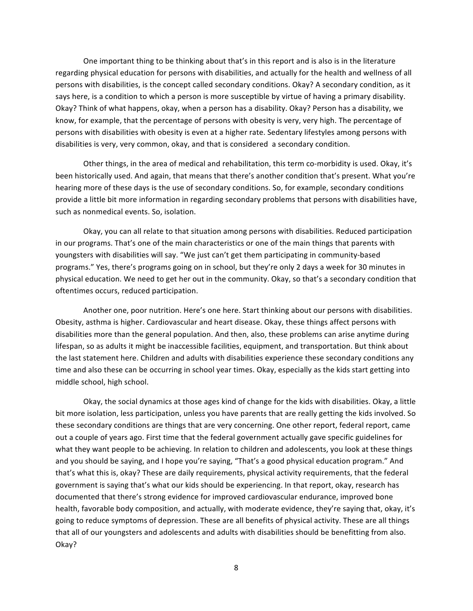One important thing to be thinking about that's in this report and is also is in the literature regarding physical education for persons with disabilities, and actually for the health and wellness of all persons with disabilities, is the concept called secondary conditions. Okay? A secondary condition, as it says here, is a condition to which a person is more susceptible by virtue of having a primary disability. Okay? Think of what happens, okay, when a person has a disability. Okay? Person has a disability, we know, for example, that the percentage of persons with obesity is very, very high. The percentage of persons with disabilities with obesity is even at a higher rate. Sedentary lifestyles among persons with disabilities is very, very common, okay, and that is considered a secondary condition.

Other things, in the area of medical and rehabilitation, this term co-morbidity is used. Okay, it's been historically used. And again, that means that there's another condition that's present. What you're hearing more of these days is the use of secondary conditions. So, for example, secondary conditions provide a little bit more information in regarding secondary problems that persons with disabilities have, such as nonmedical events. So, isolation.

Okay, you can all relate to that situation among persons with disabilities. Reduced participation in our programs. That's one of the main characteristics or one of the main things that parents with youngsters with disabilities will say. "We just can't get them participating in community-based programs." Yes, there's programs going on in school, but they're only 2 days a week for 30 minutes in physical education. We need to get her out in the community. Okay, so that's a secondary condition that oftentimes occurs, reduced participation.

Another one, poor nutrition. Here's one here. Start thinking about our persons with disabilities. Obesity, asthma is higher. Cardiovascular and heart disease. Okay, these things affect persons with disabilities more than the general population. And then, also, these problems can arise anytime during lifespan, so as adults it might be inaccessible facilities, equipment, and transportation. But think about the last statement here. Children and adults with disabilities experience these secondary conditions any time and also these can be occurring in school year times. Okay, especially as the kids start getting into middle school, high school.

Okay, the social dynamics at those ages kind of change for the kids with disabilities. Okay, a little bit more isolation, less participation, unless you have parents that are really getting the kids involved. So these secondary conditions are things that are very concerning. One other report, federal report, came out a couple of years ago. First time that the federal government actually gave specific guidelines for what they want people to be achieving. In relation to children and adolescents, you look at these things and you should be saying, and I hope you're saying, "That's a good physical education program." And that's what this is, okay? These are daily requirements, physical activity requirements, that the federal government is saying that's what our kids should be experiencing. In that report, okay, research has documented that there's strong evidence for improved cardiovascular endurance, improved bone health, favorable body composition, and actually, with moderate evidence, they're saying that, okay, it's going to reduce symptoms of depression. These are all benefits of physical activity. These are all things that all of our youngsters and adolescents and adults with disabilities should be benefitting from also. Okay?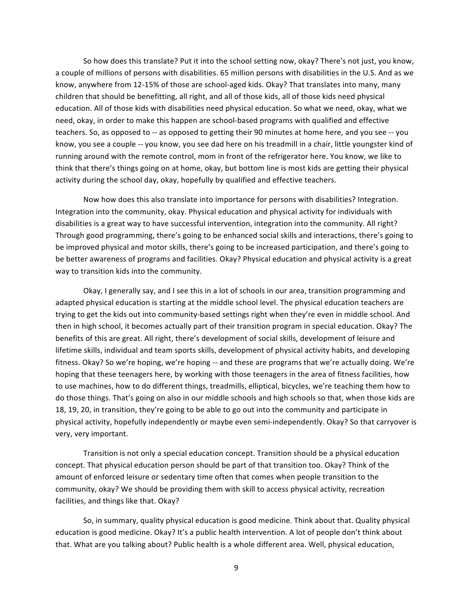So how does this translate? Put it into the school setting now, okay? There's not just, you know, a couple of millions of persons with disabilities. 65 million persons with disabilities in the U.S. And as we know, anywhere from 12-15% of those are school-aged kids. Okay? That translates into many, many children that should be benefitting, all right, and all of those kids, all of those kids need physical education. All of those kids with disabilities need physical education. So what we need, okay, what we need, okay, in order to make this happen are school-based programs with qualified and effective teachers. So, as opposed to -- as opposed to getting their 90 minutes at home here, and you see -- you know, you see a couple -- you know, you see dad here on his treadmill in a chair, little youngster kind of running around with the remote control, mom in front of the refrigerator here. You know, we like to think that there's things going on at home, okay, but bottom line is most kids are getting their physical activity during the school day, okay, hopefully by qualified and effective teachers.

Now how does this also translate into importance for persons with disabilities? Integration. Integration into the community, okay. Physical education and physical activity for individuals with disabilities is a great way to have successful intervention, integration into the community. All right? Through good programming, there's going to be enhanced social skills and interactions, there's going to be improved physical and motor skills, there's going to be increased participation, and there's going to be better awareness of programs and facilities. Okay? Physical education and physical activity is a great way to transition kids into the community.

Okay, I generally say, and I see this in a lot of schools in our area, transition programming and adapted physical education is starting at the middle school level. The physical education teachers are trying to get the kids out into community-based settings right when they're even in middle school. And then in high school, it becomes actually part of their transition program in special education. Okay? The benefits of this are great. All right, there's development of social skills, development of leisure and lifetime skills, individual and team sports skills, development of physical activity habits, and developing fitness. Okay? So we're hoping, we're hoping -- and these are programs that we're actually doing. We're hoping that these teenagers here, by working with those teenagers in the area of fitness facilities, how to use machines, how to do different things, treadmills, elliptical, bicycles, we're teaching them how to do those things. That's going on also in our middle schools and high schools so that, when those kids are 18, 19, 20, in transition, they're going to be able to go out into the community and participate in physical activity, hopefully independently or maybe even semi-independently. Okay? So that carryover is very, very important.

Transition is not only a special education concept. Transition should be a physical education concept. That physical education person should be part of that transition too. Okay? Think of the amount of enforced leisure or sedentary time often that comes when people transition to the community, okay? We should be providing them with skill to access physical activity, recreation facilities, and things like that. Okay?

So, in summary, quality physical education is good medicine. Think about that. Quality physical education is good medicine. Okay? It's a public health intervention. A lot of people don't think about that. What are you talking about? Public health is a whole different area. Well, physical education,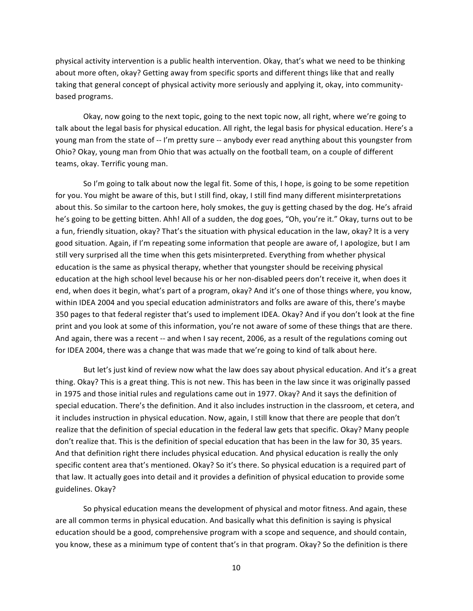physical activity intervention is a public health intervention. Okay, that's what we need to be thinking about more often, okay? Getting away from specific sports and different things like that and really taking that general concept of physical activity more seriously and applying it, okay, into communitybased programs.

Okay, now going to the next topic, going to the next topic now, all right, where we're going to talk about the legal basis for physical education. All right, the legal basis for physical education. Here's a young man from the state of -- I'm pretty sure -- anybody ever read anything about this youngster from Ohio? Okay, young man from Ohio that was actually on the football team, on a couple of different teams, okay. Terrific young man.

So I'm going to talk about now the legal fit. Some of this, I hope, is going to be some repetition for you. You might be aware of this, but I still find, okay, I still find many different misinterpretations about this. So similar to the cartoon here, holy smokes, the guy is getting chased by the dog. He's afraid he's going to be getting bitten. Ahh! All of a sudden, the dog goes, "Oh, you're it." Okay, turns out to be a fun, friendly situation, okay? That's the situation with physical education in the law, okay? It is a very good situation. Again, if I'm repeating some information that people are aware of, I apologize, but I am still very surprised all the time when this gets misinterpreted. Everything from whether physical education is the same as physical therapy, whether that youngster should be receiving physical education at the high school level because his or her non-disabled peers don't receive it, when does it end, when does it begin, what's part of a program, okay? And it's one of those things where, you know, within IDEA 2004 and you special education administrators and folks are aware of this, there's maybe 350 pages to that federal register that's used to implement IDEA. Okay? And if you don't look at the fine print and you look at some of this information, you're not aware of some of these things that are there. And again, there was a recent -- and when I say recent, 2006, as a result of the regulations coming out for IDEA 2004, there was a change that was made that we're going to kind of talk about here.

But let's just kind of review now what the law does say about physical education. And it's a great thing. Okay? This is a great thing. This is not new. This has been in the law since it was originally passed in 1975 and those initial rules and regulations came out in 1977. Okay? And it says the definition of special education. There's the definition. And it also includes instruction in the classroom, et cetera, and it includes instruction in physical education. Now, again, I still know that there are people that don't realize that the definition of special education in the federal law gets that specific. Okay? Many people don't realize that. This is the definition of special education that has been in the law for 30, 35 years. And that definition right there includes physical education. And physical education is really the only specific content area that's mentioned. Okay? So it's there. So physical education is a required part of that law. It actually goes into detail and it provides a definition of physical education to provide some guidelines. Okay?

So physical education means the development of physical and motor fitness. And again, these are all common terms in physical education. And basically what this definition is saying is physical education should be a good, comprehensive program with a scope and sequence, and should contain, you know, these as a minimum type of content that's in that program. Okay? So the definition is there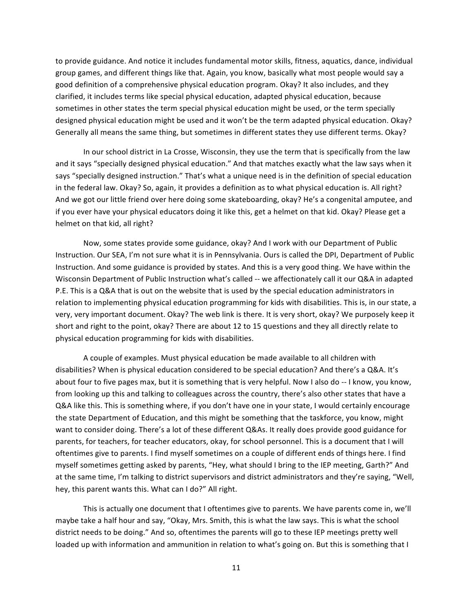to provide guidance. And notice it includes fundamental motor skills, fitness, aquatics, dance, individual group games, and different things like that. Again, you know, basically what most people would say a good definition of a comprehensive physical education program. Okay? It also includes, and they clarified, it includes terms like special physical education, adapted physical education, because sometimes in other states the term special physical education might be used, or the term specially designed physical education might be used and it won't be the term adapted physical education. Okay? Generally all means the same thing, but sometimes in different states they use different terms. Okay?

In our school district in La Crosse, Wisconsin, they use the term that is specifically from the law and it says "specially designed physical education." And that matches exactly what the law says when it says "specially designed instruction." That's what a unique need is in the definition of special education in the federal law. Okay? So, again, it provides a definition as to what physical education is. All right? And we got our little friend over here doing some skateboarding, okay? He's a congenital amputee, and if you ever have your physical educators doing it like this, get a helmet on that kid. Okay? Please get a helmet on that kid, all right?

Now, some states provide some guidance, okay? And I work with our Department of Public Instruction. Our SEA, I'm not sure what it is in Pennsylvania. Ours is called the DPI, Department of Public Instruction. And some guidance is provided by states. And this is a very good thing. We have within the Wisconsin Department of Public Instruction what's called -- we affectionately call it our Q&A in adapted P.E. This is a Q&A that is out on the website that is used by the special education administrators in relation to implementing physical education programming for kids with disabilities. This is, in our state, a very, very important document. Okay? The web link is there. It is very short, okay? We purposely keep it short and right to the point, okay? There are about 12 to 15 questions and they all directly relate to physical education programming for kids with disabilities.

A couple of examples. Must physical education be made available to all children with disabilities? When is physical education considered to be special education? And there's a Q&A. It's about four to five pages max, but it is something that is very helpful. Now I also do -- I know, you know, from looking up this and talking to colleagues across the country, there's also other states that have a Q&A like this. This is something where, if you don't have one in your state, I would certainly encourage the state Department of Education, and this might be something that the taskforce, you know, might want to consider doing. There's a lot of these different Q&As. It really does provide good guidance for parents, for teachers, for teacher educators, okay, for school personnel. This is a document that I will oftentimes give to parents. I find myself sometimes on a couple of different ends of things here. I find myself sometimes getting asked by parents, "Hey, what should I bring to the IEP meeting, Garth?" And at the same time, I'm talking to district supervisors and district administrators and they're saying, "Well, hey, this parent wants this. What can I do?" All right.

This is actually one document that I oftentimes give to parents. We have parents come in, we'll maybe take a half hour and say, "Okay, Mrs. Smith, this is what the law says. This is what the school district needs to be doing." And so, oftentimes the parents will go to these IEP meetings pretty well loaded up with information and ammunition in relation to what's going on. But this is something that I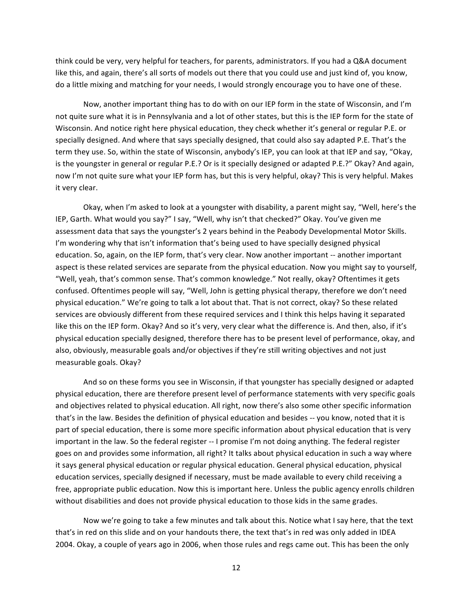think could be very, very helpful for teachers, for parents, administrators. If you had a Q&A document like this, and again, there's all sorts of models out there that you could use and just kind of, you know, do a little mixing and matching for your needs, I would strongly encourage you to have one of these.

Now, another important thing has to do with on our IEP form in the state of Wisconsin, and I'm not quite sure what it is in Pennsylvania and a lot of other states, but this is the IEP form for the state of Wisconsin. And notice right here physical education, they check whether it's general or regular P.E. or specially designed. And where that says specially designed, that could also say adapted P.E. That's the term they use. So, within the state of Wisconsin, anybody's IEP, you can look at that IEP and say, "Okay, is the youngster in general or regular P.E.? Or is it specially designed or adapted P.E.?" Okay? And again, now I'm not quite sure what your IEP form has, but this is very helpful, okay? This is very helpful. Makes it very clear.

Okay, when I'm asked to look at a youngster with disability, a parent might say, "Well, here's the IEP, Garth. What would you say?" I say, "Well, why isn't that checked?" Okay. You've given me assessment data that says the youngster's 2 years behind in the Peabody Developmental Motor Skills. I'm wondering why that isn't information that's being used to have specially designed physical education. So, again, on the IEP form, that's very clear. Now another important -- another important aspect is these related services are separate from the physical education. Now you might say to yourself, "Well, yeah, that's common sense. That's common knowledge." Not really, okay? Oftentimes it gets confused. Oftentimes people will say, "Well, John is getting physical therapy, therefore we don't need physical education." We're going to talk a lot about that. That is not correct, okay? So these related services are obviously different from these required services and I think this helps having it separated like this on the IEP form. Okay? And so it's very, very clear what the difference is. And then, also, if it's physical education specially designed, therefore there has to be present level of performance, okay, and also, obviously, measurable goals and/or objectives if they're still writing objectives and not just measurable goals. Okay?

And so on these forms you see in Wisconsin, if that youngster has specially designed or adapted physical education, there are therefore present level of performance statements with very specific goals and objectives related to physical education. All right, now there's also some other specific information that's in the law. Besides the definition of physical education and besides -- you know, noted that it is part of special education, there is some more specific information about physical education that is very important in the law. So the federal register -- I promise I'm not doing anything. The federal register goes on and provides some information, all right? It talks about physical education in such a way where it says general physical education or regular physical education. General physical education, physical education services, specially designed if necessary, must be made available to every child receiving a free, appropriate public education. Now this is important here. Unless the public agency enrolls children without disabilities and does not provide physical education to those kids in the same grades.

Now we're going to take a few minutes and talk about this. Notice what I say here, that the text that's in red on this slide and on your handouts there, the text that's in red was only added in IDEA 2004. Okay, a couple of years ago in 2006, when those rules and regs came out. This has been the only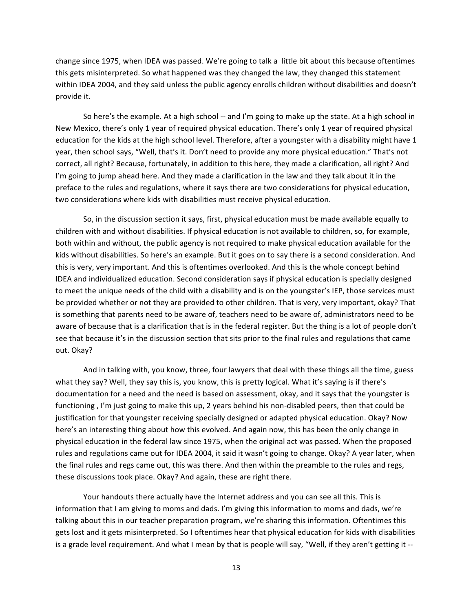change since 1975, when IDEA was passed. We're going to talk a little bit about this because oftentimes this gets misinterpreted. So what happened was they changed the law, they changed this statement within IDEA 2004, and they said unless the public agency enrolls children without disabilities and doesn't provide it.

So here's the example. At a high school -- and I'm going to make up the state. At a high school in New Mexico, there's only 1 year of required physical education. There's only 1 year of required physical education for the kids at the high school level. Therefore, after a youngster with a disability might have 1 year, then school says, "Well, that's it. Don't need to provide any more physical education." That's not correct, all right? Because, fortunately, in addition to this here, they made a clarification, all right? And I'm going to jump ahead here. And they made a clarification in the law and they talk about it in the preface to the rules and regulations, where it says there are two considerations for physical education, two considerations where kids with disabilities must receive physical education.

So, in the discussion section it says, first, physical education must be made available equally to children with and without disabilities. If physical education is not available to children, so, for example, both within and without, the public agency is not required to make physical education available for the kids without disabilities. So here's an example. But it goes on to say there is a second consideration. And this is very, very important. And this is oftentimes overlooked. And this is the whole concept behind IDEA and individualized education. Second consideration says if physical education is specially designed to meet the unique needs of the child with a disability and is on the youngster's IEP, those services must be provided whether or not they are provided to other children. That is very, very important, okay? That is something that parents need to be aware of, teachers need to be aware of, administrators need to be aware of because that is a clarification that is in the federal register. But the thing is a lot of people don't see that because it's in the discussion section that sits prior to the final rules and regulations that came out. Okay?

And in talking with, you know, three, four lawyers that deal with these things all the time, guess what they say? Well, they say this is, you know, this is pretty logical. What it's saying is if there's documentation for a need and the need is based on assessment, okay, and it says that the youngster is functioning, I'm just going to make this up, 2 years behind his non-disabled peers, then that could be justification for that youngster receiving specially designed or adapted physical education. Okay? Now here's an interesting thing about how this evolved. And again now, this has been the only change in physical education in the federal law since 1975, when the original act was passed. When the proposed rules and regulations came out for IDEA 2004, it said it wasn't going to change. Okay? A year later, when the final rules and regs came out, this was there. And then within the preamble to the rules and regs, these discussions took place. Okay? And again, these are right there.

Your handouts there actually have the Internet address and you can see all this. This is information that I am giving to moms and dads. I'm giving this information to moms and dads, we're talking about this in our teacher preparation program, we're sharing this information. Oftentimes this gets lost and it gets misinterpreted. So I oftentimes hear that physical education for kids with disabilities is a grade level requirement. And what I mean by that is people will say, "Well, if they aren't getting it --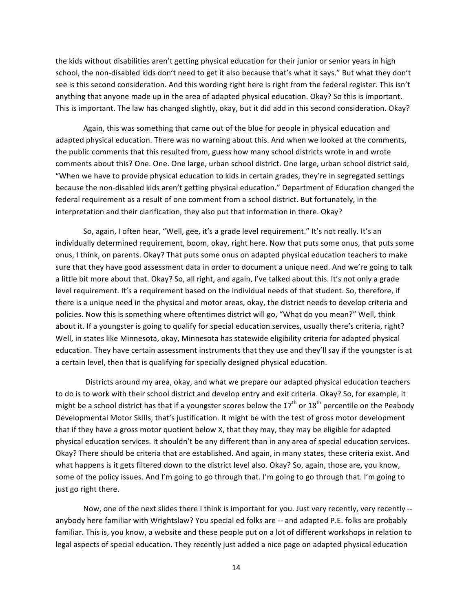the kids without disabilities aren't getting physical education for their junior or senior years in high school, the non-disabled kids don't need to get it also because that's what it says." But what they don't see is this second consideration. And this wording right here is right from the federal register. This isn't anything that anyone made up in the area of adapted physical education. Okay? So this is important. This is important. The law has changed slightly, okay, but it did add in this second consideration. Okay?

Again, this was something that came out of the blue for people in physical education and adapted physical education. There was no warning about this. And when we looked at the comments, the public comments that this resulted from, guess how many school districts wrote in and wrote comments about this? One. One. One large, urban school district. One large, urban school district said, "When we have to provide physical education to kids in certain grades, they're in segregated settings" because the non-disabled kids aren't getting physical education." Department of Education changed the federal requirement as a result of one comment from a school district. But fortunately, in the interpretation and their clarification, they also put that information in there. Okay?

So, again, I often hear, "Well, gee, it's a grade level requirement." It's not really. It's an individually determined requirement, boom, okay, right here. Now that puts some onus, that puts some onus, I think, on parents. Okay? That puts some onus on adapted physical education teachers to make sure that they have good assessment data in order to document a unique need. And we're going to talk a little bit more about that. Okay? So, all right, and again, I've talked about this. It's not only a grade level requirement. It's a requirement based on the individual needs of that student. So, therefore, if there is a unique need in the physical and motor areas, okay, the district needs to develop criteria and policies. Now this is something where oftentimes district will go, "What do you mean?" Well, think about it. If a youngster is going to qualify for special education services, usually there's criteria, right? Well, in states like Minnesota, okay, Minnesota has statewide eligibility criteria for adapted physical education. They have certain assessment instruments that they use and they'll say if the youngster is at a certain level, then that is qualifying for specially designed physical education.

Districts around my area, okay, and what we prepare our adapted physical education teachers to do is to work with their school district and develop entry and exit criteria. Okay? So, for example, it might be a school district has that if a youngster scores below the  $17<sup>th</sup>$  or  $18<sup>th</sup>$  percentile on the Peabody Developmental Motor Skills, that's justification. It might be with the test of gross motor development that if they have a gross motor quotient below X, that they may, they may be eligible for adapted physical education services. It shouldn't be any different than in any area of special education services. Okay? There should be criteria that are established. And again, in many states, these criteria exist. And what happens is it gets filtered down to the district level also. Okay? So, again, those are, you know, some of the policy issues. And I'm going to go through that. I'm going to go through that. I'm going to just go right there.

Now, one of the next slides there I think is important for you. Just very recently, very recently -anybody here familiar with Wrightslaw? You special ed folks are -- and adapted P.E. folks are probably familiar. This is, you know, a website and these people put on a lot of different workshops in relation to legal aspects of special education. They recently just added a nice page on adapted physical education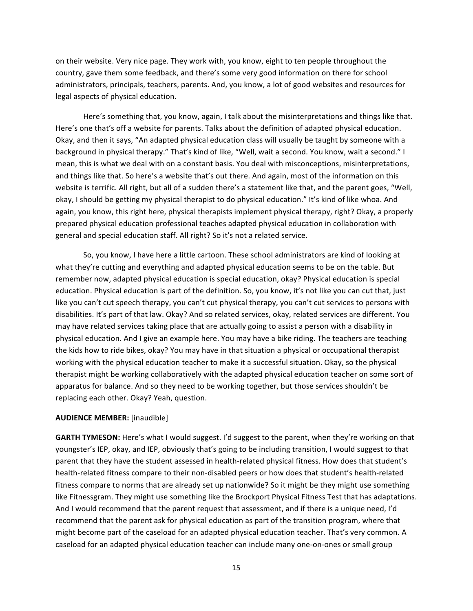on their website. Very nice page. They work with, you know, eight to ten people throughout the country, gave them some feedback, and there's some very good information on there for school administrators, principals, teachers, parents. And, you know, a lot of good websites and resources for legal aspects of physical education.

Here's something that, you know, again, I talk about the misinterpretations and things like that. Here's one that's off a website for parents. Talks about the definition of adapted physical education. Okay, and then it says, "An adapted physical education class will usually be taught by someone with a background in physical therapy." That's kind of like, "Well, wait a second. You know, wait a second." I mean, this is what we deal with on a constant basis. You deal with misconceptions, misinterpretations, and things like that. So here's a website that's out there. And again, most of the information on this website is terrific. All right, but all of a sudden there's a statement like that, and the parent goes, "Well, okay, I should be getting my physical therapist to do physical education." It's kind of like whoa. And again, you know, this right here, physical therapists implement physical therapy, right? Okay, a properly prepared physical education professional teaches adapted physical education in collaboration with general and special education staff. All right? So it's not a related service.

So, you know, I have here a little cartoon. These school administrators are kind of looking at what they're cutting and everything and adapted physical education seems to be on the table. But remember now, adapted physical education is special education, okay? Physical education is special education. Physical education is part of the definition. So, you know, it's not like you can cut that, just like you can't cut speech therapy, you can't cut physical therapy, you can't cut services to persons with disabilities. It's part of that law. Okay? And so related services, okay, related services are different. You may have related services taking place that are actually going to assist a person with a disability in physical education. And I give an example here. You may have a bike riding. The teachers are teaching the kids how to ride bikes, okay? You may have in that situation a physical or occupational therapist working with the physical education teacher to make it a successful situation. Okay, so the physical therapist might be working collaboratively with the adapted physical education teacher on some sort of apparatus for balance. And so they need to be working together, but those services shouldn't be replacing each other. Okay? Yeah, question.

#### **AUDIENCE MEMBER:** [inaudible]

GARTH TYMESON: Here's what I would suggest. I'd suggest to the parent, when they're working on that youngster's IEP, okay, and IEP, obviously that's going to be including transition, I would suggest to that parent that they have the student assessed in health-related physical fitness. How does that student's health-related fitness compare to their non-disabled peers or how does that student's health-related fitness compare to norms that are already set up nationwide? So it might be they might use something like Fitnessgram. They might use something like the Brockport Physical Fitness Test that has adaptations. And I would recommend that the parent request that assessment, and if there is a unique need, I'd recommend that the parent ask for physical education as part of the transition program, where that might become part of the caseload for an adapted physical education teacher. That's very common. A caseload for an adapted physical education teacher can include many one-on-ones or small group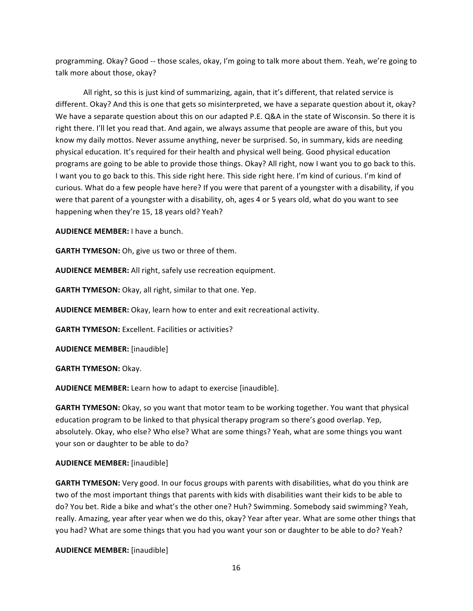programming. Okay? Good -- those scales, okay, I'm going to talk more about them. Yeah, we're going to talk more about those, okay?

All right, so this is just kind of summarizing, again, that it's different, that related service is different. Okay? And this is one that gets so misinterpreted, we have a separate question about it, okay? We have a separate question about this on our adapted P.E. Q&A in the state of Wisconsin. So there it is right there. I'll let you read that. And again, we always assume that people are aware of this, but you know my daily mottos. Never assume anything, never be surprised. So, in summary, kids are needing physical education. It's required for their health and physical well being. Good physical education programs are going to be able to provide those things. Okay? All right, now I want you to go back to this. I want you to go back to this. This side right here. This side right here. I'm kind of curious. I'm kind of curious. What do a few people have here? If you were that parent of a youngster with a disability, if you were that parent of a youngster with a disability, oh, ages 4 or 5 years old, what do you want to see happening when they're 15, 18 years old? Yeah?

**AUDIENCE MEMBER:** I have a bunch.

**GARTH TYMESON:** Oh, give us two or three of them.

AUDIENCE MEMBER: All right, safely use recreation equipment.

**GARTH TYMESON:** Okay, all right, similar to that one. Yep.

AUDIENCE MEMBER: Okay, learn how to enter and exit recreational activity.

**GARTH TYMESON:** Excellent. Facilities or activities?

**AUDIENCE MEMBER:** [inaudible]

**GARTH TYMESON: Okay.** 

**AUDIENCE MEMBER:** Learn how to adapt to exercise [inaudible].

**GARTH TYMESON:** Okay, so you want that motor team to be working together. You want that physical education program to be linked to that physical therapy program so there's good overlap. Yep, absolutely. Okay, who else? Who else? What are some things? Yeah, what are some things you want your son or daughter to be able to do?

#### **AUDIENCE MEMBER:** [inaudible]

GARTH TYMESON: Very good. In our focus groups with parents with disabilities, what do you think are two of the most important things that parents with kids with disabilities want their kids to be able to do? You bet. Ride a bike and what's the other one? Huh? Swimming. Somebody said swimming? Yeah, really. Amazing, year after year when we do this, okay? Year after year. What are some other things that you had? What are some things that you had you want your son or daughter to be able to do? Yeah?

**AUDIENCE MEMBER:** [inaudible]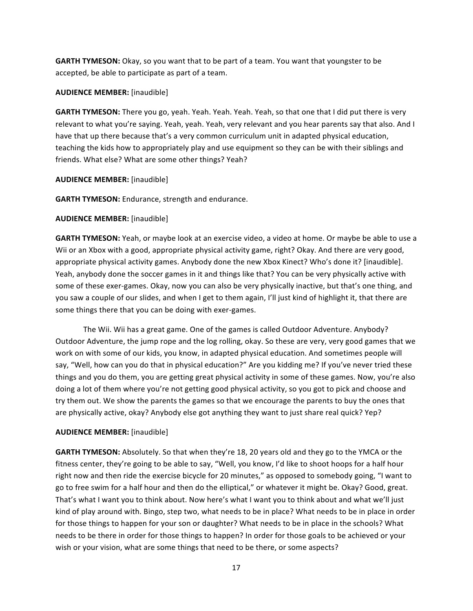**GARTH TYMESON:** Okay, so you want that to be part of a team. You want that youngster to be accepted, be able to participate as part of a team.

### **AUDIENCE MEMBER:** [inaudible]

**GARTH TYMESON:** There you go, yeah. Yeah. Yeah. Yeah. Yeah, so that one that I did put there is very relevant to what you're saying. Yeah, yeah. Yeah, very relevant and you hear parents say that also. And I have that up there because that's a very common curriculum unit in adapted physical education, teaching the kids how to appropriately play and use equipment so they can be with their siblings and friends. What else? What are some other things? Yeah?

### **AUDIENCE MEMBER:** [inaudible]

**GARTH TYMESON:** Endurance, strength and endurance.

### **AUDIENCE MEMBER:** [inaudible]

**GARTH TYMESON:** Yeah, or maybe look at an exercise video, a video at home. Or maybe be able to use a Wii or an Xbox with a good, appropriate physical activity game, right? Okay. And there are very good, appropriate physical activity games. Anybody done the new Xbox Kinect? Who's done it? [inaudible]. Yeah, anybody done the soccer games in it and things like that? You can be very physically active with some of these exer-games. Okay, now you can also be very physically inactive, but that's one thing, and you saw a couple of our slides, and when I get to them again, I'll just kind of highlight it, that there are some things there that you can be doing with exer-games.

The Wii. Wii has a great game. One of the games is called Outdoor Adventure. Anybody? Outdoor Adventure, the jump rope and the log rolling, okay. So these are very, very good games that we work on with some of our kids, you know, in adapted physical education. And sometimes people will say, "Well, how can you do that in physical education?" Are you kidding me? If you've never tried these things and you do them, you are getting great physical activity in some of these games. Now, you're also doing a lot of them where you're not getting good physical activity, so you got to pick and choose and try them out. We show the parents the games so that we encourage the parents to buy the ones that are physically active, okay? Anybody else got anything they want to just share real quick? Yep?

## **AUDIENCE MEMBER:** [inaudible]

**GARTH TYMESON:** Absolutely. So that when they're 18, 20 years old and they go to the YMCA or the fitness center, they're going to be able to say, "Well, you know, I'd like to shoot hoops for a half hour right now and then ride the exercise bicycle for 20 minutes," as opposed to somebody going, "I want to go to free swim for a half hour and then do the elliptical," or whatever it might be. Okay? Good, great. That's what I want you to think about. Now here's what I want you to think about and what we'll just kind of play around with. Bingo, step two, what needs to be in place? What needs to be in place in order for those things to happen for your son or daughter? What needs to be in place in the schools? What needs to be there in order for those things to happen? In order for those goals to be achieved or your wish or your vision, what are some things that need to be there, or some aspects?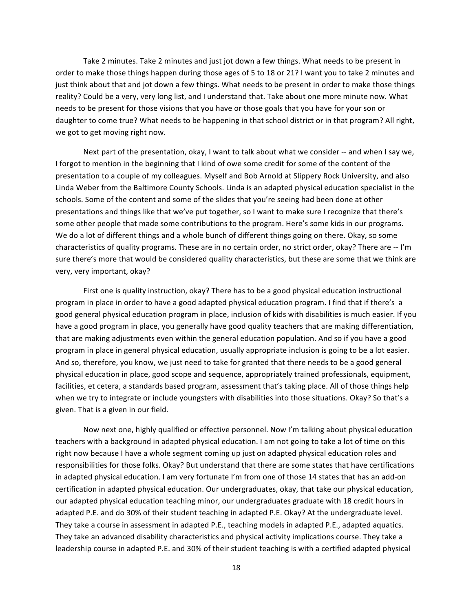Take 2 minutes. Take 2 minutes and just jot down a few things. What needs to be present in order to make those things happen during those ages of 5 to 18 or 21? I want you to take 2 minutes and just think about that and jot down a few things. What needs to be present in order to make those things reality? Could be a very, very long list, and I understand that. Take about one more minute now. What needs to be present for those visions that you have or those goals that you have for your son or daughter to come true? What needs to be happening in that school district or in that program? All right, we got to get moving right now.

Next part of the presentation, okay, I want to talk about what we consider -- and when I say we, I forgot to mention in the beginning that I kind of owe some credit for some of the content of the presentation to a couple of my colleagues. Myself and Bob Arnold at Slippery Rock University, and also Linda Weber from the Baltimore County Schools. Linda is an adapted physical education specialist in the schools. Some of the content and some of the slides that you're seeing had been done at other presentations and things like that we've put together, so I want to make sure I recognize that there's some other people that made some contributions to the program. Here's some kids in our programs. We do a lot of different things and a whole bunch of different things going on there. Okay, so some characteristics of quality programs. These are in no certain order, no strict order, okay? There are -- I'm sure there's more that would be considered quality characteristics, but these are some that we think are very, very important, okay?

First one is quality instruction, okay? There has to be a good physical education instructional program in place in order to have a good adapted physical education program. I find that if there's a good general physical education program in place, inclusion of kids with disabilities is much easier. If you have a good program in place, you generally have good quality teachers that are making differentiation, that are making adjustments even within the general education population. And so if you have a good program in place in general physical education, usually appropriate inclusion is going to be a lot easier. And so, therefore, you know, we just need to take for granted that there needs to be a good general physical education in place, good scope and sequence, appropriately trained professionals, equipment, facilities, et cetera, a standards based program, assessment that's taking place. All of those things help when we try to integrate or include youngsters with disabilities into those situations. Okay? So that's a given. That is a given in our field.

Now next one, highly qualified or effective personnel. Now I'm talking about physical education teachers with a background in adapted physical education. I am not going to take a lot of time on this right now because I have a whole segment coming up just on adapted physical education roles and responsibilities for those folks. Okay? But understand that there are some states that have certifications in adapted physical education. I am very fortunate I'm from one of those 14 states that has an add-on certification in adapted physical education. Our undergraduates, okay, that take our physical education, our adapted physical education teaching minor, our undergraduates graduate with 18 credit hours in adapted P.E. and do 30% of their student teaching in adapted P.E. Okay? At the undergraduate level. They take a course in assessment in adapted P.E., teaching models in adapted P.E., adapted aquatics. They take an advanced disability characteristics and physical activity implications course. They take a leadership course in adapted P.E. and 30% of their student teaching is with a certified adapted physical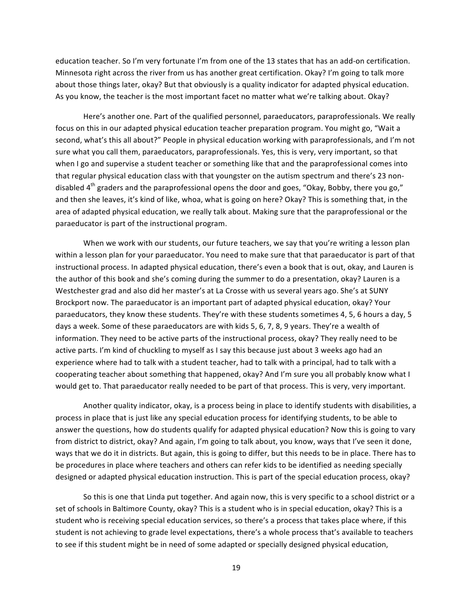education teacher. So I'm very fortunate I'm from one of the 13 states that has an add-on certification. Minnesota right across the river from us has another great certification. Okay? I'm going to talk more about those things later, okay? But that obviously is a quality indicator for adapted physical education. As you know, the teacher is the most important facet no matter what we're talking about. Okay?

Here's another one. Part of the qualified personnel, paraeducators, paraprofessionals. We really focus on this in our adapted physical education teacher preparation program. You might go, "Wait a" second, what's this all about?" People in physical education working with paraprofessionals, and I'm not sure what you call them, paraeducators, paraprofessionals. Yes, this is very, very important, so that when I go and supervise a student teacher or something like that and the paraprofessional comes into that regular physical education class with that youngster on the autism spectrum and there's 23 nondisabled  $4<sup>th</sup>$  graders and the paraprofessional opens the door and goes, "Okay, Bobby, there you go," and then she leaves, it's kind of like, whoa, what is going on here? Okay? This is something that, in the area of adapted physical education, we really talk about. Making sure that the paraprofessional or the paraeducator is part of the instructional program.

When we work with our students, our future teachers, we say that you're writing a lesson plan within a lesson plan for your paraeducator. You need to make sure that that paraeducator is part of that instructional process. In adapted physical education, there's even a book that is out, okay, and Lauren is the author of this book and she's coming during the summer to do a presentation, okay? Lauren is a Westchester grad and also did her master's at La Crosse with us several years ago. She's at SUNY Brockport now. The paraeducator is an important part of adapted physical education, okay? Your paraeducators, they know these students. They're with these students sometimes 4, 5, 6 hours a day, 5 days a week. Some of these paraeducators are with kids 5, 6, 7, 8, 9 years. They're a wealth of information. They need to be active parts of the instructional process, okay? They really need to be active parts. I'm kind of chuckling to myself as I say this because just about 3 weeks ago had an experience where had to talk with a student teacher, had to talk with a principal, had to talk with a cooperating teacher about something that happened, okay? And I'm sure you all probably know what I would get to. That paraeducator really needed to be part of that process. This is very, very important.

Another quality indicator, okay, is a process being in place to identify students with disabilities, a process in place that is just like any special education process for identifying students, to be able to answer the questions, how do students qualify for adapted physical education? Now this is going to vary from district to district, okay? And again, I'm going to talk about, you know, ways that I've seen it done, ways that we do it in districts. But again, this is going to differ, but this needs to be in place. There has to be procedures in place where teachers and others can refer kids to be identified as needing specially designed or adapted physical education instruction. This is part of the special education process, okay?

So this is one that Linda put together. And again now, this is very specific to a school district or a set of schools in Baltimore County, okay? This is a student who is in special education, okay? This is a student who is receiving special education services, so there's a process that takes place where, if this student is not achieving to grade level expectations, there's a whole process that's available to teachers to see if this student might be in need of some adapted or specially designed physical education,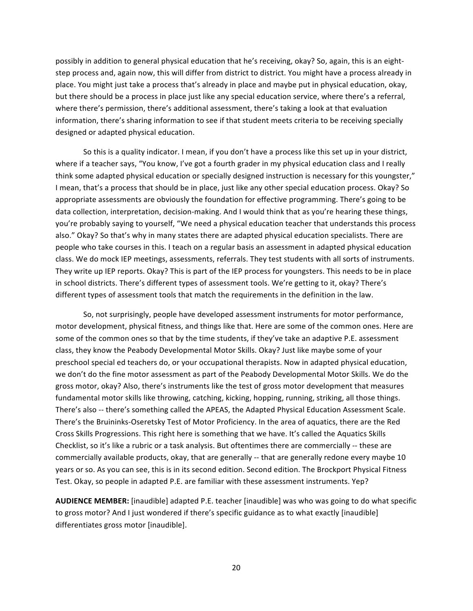possibly in addition to general physical education that he's receiving, okay? So, again, this is an eightstep process and, again now, this will differ from district to district. You might have a process already in place. You might just take a process that's already in place and maybe put in physical education, okay, but there should be a process in place just like any special education service, where there's a referral, where there's permission, there's additional assessment, there's taking a look at that evaluation information, there's sharing information to see if that student meets criteria to be receiving specially designed or adapted physical education.

So this is a quality indicator. I mean, if you don't have a process like this set up in your district, where if a teacher says, "You know, I've got a fourth grader in my physical education class and I really think some adapted physical education or specially designed instruction is necessary for this youngster," I mean, that's a process that should be in place, just like any other special education process. Okay? So appropriate assessments are obviously the foundation for effective programming. There's going to be data collection, interpretation, decision-making. And I would think that as you're hearing these things, you're probably saying to yourself, "We need a physical education teacher that understands this process" also." Okay? So that's why in many states there are adapted physical education specialists. There are people who take courses in this. I teach on a regular basis an assessment in adapted physical education class. We do mock IEP meetings, assessments, referrals. They test students with all sorts of instruments. They write up IEP reports. Okay? This is part of the IEP process for youngsters. This needs to be in place in school districts. There's different types of assessment tools. We're getting to it, okay? There's different types of assessment tools that match the requirements in the definition in the law.

So, not surprisingly, people have developed assessment instruments for motor performance, motor development, physical fitness, and things like that. Here are some of the common ones. Here are some of the common ones so that by the time students, if they've take an adaptive P.E. assessment class, they know the Peabody Developmental Motor Skills. Okay? Just like maybe some of your preschool special ed teachers do, or your occupational therapists. Now in adapted physical education, we don't do the fine motor assessment as part of the Peabody Developmental Motor Skills. We do the gross motor, okay? Also, there's instruments like the test of gross motor development that measures fundamental motor skills like throwing, catching, kicking, hopping, running, striking, all those things. There's also -- there's something called the APEAS, the Adapted Physical Education Assessment Scale. There's the Bruininks-Oseretsky Test of Motor Proficiency. In the area of aquatics, there are the Red Cross Skills Progressions. This right here is something that we have. It's called the Aquatics Skills Checklist, so it's like a rubric or a task analysis. But oftentimes there are commercially -- these are commercially available products, okay, that are generally -- that are generally redone every maybe 10 years or so. As you can see, this is in its second edition. Second edition. The Brockport Physical Fitness Test. Okay, so people in adapted P.E. are familiar with these assessment instruments. Yep?

**AUDIENCE MEMBER:** [inaudible] adapted P.E. teacher [inaudible] was who was going to do what specific to gross motor? And I just wondered if there's specific guidance as to what exactly [inaudible] differentiates gross motor [inaudible].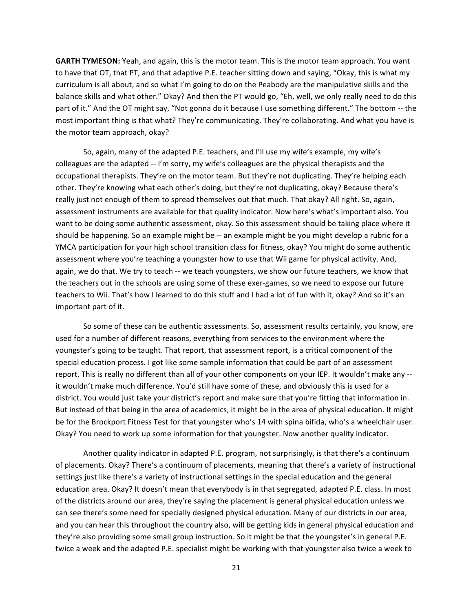**GARTH TYMESON:** Yeah, and again, this is the motor team. This is the motor team approach. You want to have that OT, that PT, and that adaptive P.E. teacher sitting down and saying, "Okay, this is what my curriculum is all about, and so what I'm going to do on the Peabody are the manipulative skills and the balance skills and what other." Okay? And then the PT would go, "Eh, well, we only really need to do this part of it." And the OT might say, "Not gonna do it because I use something different." The bottom -- the most important thing is that what? They're communicating. They're collaborating. And what you have is the motor team approach, okay?

So, again, many of the adapted P.E. teachers, and I'll use my wife's example, my wife's colleagues are the adapted -- I'm sorry, my wife's colleagues are the physical therapists and the occupational therapists. They're on the motor team. But they're not duplicating. They're helping each other. They're knowing what each other's doing, but they're not duplicating, okay? Because there's really just not enough of them to spread themselves out that much. That okay? All right. So, again, assessment instruments are available for that quality indicator. Now here's what's important also. You want to be doing some authentic assessment, okay. So this assessment should be taking place where it should be happening. So an example might be -- an example might be you might develop a rubric for a YMCA participation for your high school transition class for fitness, okay? You might do some authentic assessment where you're teaching a youngster how to use that Wii game for physical activity. And, again, we do that. We try to teach -- we teach youngsters, we show our future teachers, we know that the teachers out in the schools are using some of these exer-games, so we need to expose our future teachers to Wii. That's how I learned to do this stuff and I had a lot of fun with it, okay? And so it's an important part of it.

So some of these can be authentic assessments. So, assessment results certainly, you know, are used for a number of different reasons, everything from services to the environment where the youngster's going to be taught. That report, that assessment report, is a critical component of the special education process. I got like some sample information that could be part of an assessment report. This is really no different than all of your other components on your IEP. It wouldn't make any -it wouldn't make much difference. You'd still have some of these, and obviously this is used for a district. You would just take your district's report and make sure that you're fitting that information in. But instead of that being in the area of academics, it might be in the area of physical education. It might be for the Brockport Fitness Test for that youngster who's 14 with spina bifida, who's a wheelchair user. Okay? You need to work up some information for that youngster. Now another quality indicator.

Another quality indicator in adapted P.E. program, not surprisingly, is that there's a continuum of placements. Okay? There's a continuum of placements, meaning that there's a variety of instructional settings just like there's a variety of instructional settings in the special education and the general education area. Okay? It doesn't mean that everybody is in that segregated, adapted P.E. class. In most of the districts around our area, they're saying the placement is general physical education unless we can see there's some need for specially designed physical education. Many of our districts in our area, and you can hear this throughout the country also, will be getting kids in general physical education and they're also providing some small group instruction. So it might be that the youngster's in general P.E. twice a week and the adapted P.E. specialist might be working with that youngster also twice a week to

21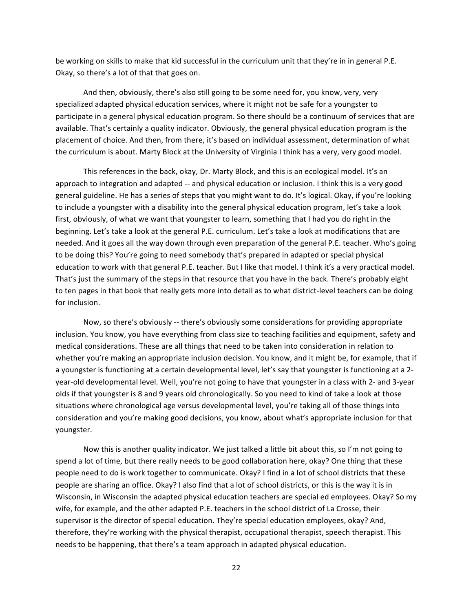be working on skills to make that kid successful in the curriculum unit that they're in in general P.E. Okay, so there's a lot of that that goes on.

And then, obviously, there's also still going to be some need for, you know, very, very specialized adapted physical education services, where it might not be safe for a youngster to participate in a general physical education program. So there should be a continuum of services that are available. That's certainly a quality indicator. Obviously, the general physical education program is the placement of choice. And then, from there, it's based on individual assessment, determination of what the curriculum is about. Marty Block at the University of Virginia I think has a very, very good model.

This references in the back, okay, Dr. Marty Block, and this is an ecological model. It's an approach to integration and adapted -- and physical education or inclusion. I think this is a very good general guideline. He has a series of steps that you might want to do. It's logical. Okay, if you're looking to include a youngster with a disability into the general physical education program, let's take a look first, obviously, of what we want that youngster to learn, something that I had you do right in the beginning. Let's take a look at the general P.E. curriculum. Let's take a look at modifications that are needed. And it goes all the way down through even preparation of the general P.E. teacher. Who's going to be doing this? You're going to need somebody that's prepared in adapted or special physical education to work with that general P.E. teacher. But I like that model. I think it's a very practical model. That's just the summary of the steps in that resource that you have in the back. There's probably eight to ten pages in that book that really gets more into detail as to what district-level teachers can be doing for inclusion.

Now, so there's obviously -- there's obviously some considerations for providing appropriate inclusion. You know, you have everything from class size to teaching facilities and equipment, safety and medical considerations. These are all things that need to be taken into consideration in relation to whether you're making an appropriate inclusion decision. You know, and it might be, for example, that if a youngster is functioning at a certain developmental level, let's say that youngster is functioning at a 2year-old developmental level. Well, you're not going to have that youngster in a class with 2- and 3-year olds if that youngster is 8 and 9 years old chronologically. So you need to kind of take a look at those situations where chronological age versus developmental level, you're taking all of those things into consideration and you're making good decisions, you know, about what's appropriate inclusion for that youngster.

Now this is another quality indicator. We just talked a little bit about this, so I'm not going to spend a lot of time, but there really needs to be good collaboration here, okay? One thing that these people need to do is work together to communicate. Okay? I find in a lot of school districts that these people are sharing an office. Okay? I also find that a lot of school districts, or this is the way it is in Wisconsin, in Wisconsin the adapted physical education teachers are special ed employees. Okay? So my wife, for example, and the other adapted P.E. teachers in the school district of La Crosse, their supervisor is the director of special education. They're special education employees, okay? And, therefore, they're working with the physical therapist, occupational therapist, speech therapist. This needs to be happening, that there's a team approach in adapted physical education.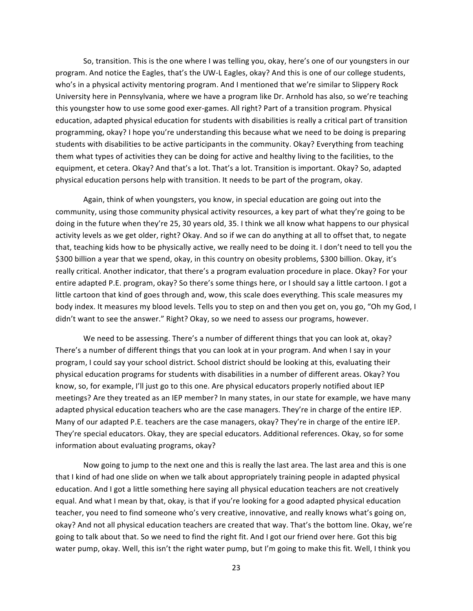So, transition. This is the one where I was telling you, okay, here's one of our youngsters in our program. And notice the Eagles, that's the UW-L Eagles, okay? And this is one of our college students, who's in a physical activity mentoring program. And I mentioned that we're similar to Slippery Rock University here in Pennsylvania, where we have a program like Dr. Arnhold has also, so we're teaching this youngster how to use some good exer-games. All right? Part of a transition program. Physical education, adapted physical education for students with disabilities is really a critical part of transition programming, okay? I hope you're understanding this because what we need to be doing is preparing students with disabilities to be active participants in the community. Okay? Everything from teaching them what types of activities they can be doing for active and healthy living to the facilities, to the equipment, et cetera. Okay? And that's a lot. That's a lot. Transition is important. Okay? So, adapted physical education persons help with transition. It needs to be part of the program, okay.

Again, think of when youngsters, you know, in special education are going out into the community, using those community physical activity resources, a key part of what they're going to be doing in the future when they're 25, 30 years old, 35. I think we all know what happens to our physical activity levels as we get older, right? Okay. And so if we can do anything at all to offset that, to negate that, teaching kids how to be physically active, we really need to be doing it. I don't need to tell you the \$300 billion a year that we spend, okay, in this country on obesity problems, \$300 billion. Okay, it's really critical. Another indicator, that there's a program evaluation procedure in place. Okay? For your entire adapted P.E. program, okay? So there's some things here, or I should say a little cartoon. I got a little cartoon that kind of goes through and, wow, this scale does everything. This scale measures my body index. It measures my blood levels. Tells you to step on and then you get on, you go, "Oh my God, I didn't want to see the answer." Right? Okay, so we need to assess our programs, however.

We need to be assessing. There's a number of different things that you can look at, okay? There's a number of different things that you can look at in your program. And when I say in your program, I could say your school district. School district should be looking at this, evaluating their physical education programs for students with disabilities in a number of different areas. Okay? You know, so, for example, I'll just go to this one. Are physical educators properly notified about IEP meetings? Are they treated as an IEP member? In many states, in our state for example, we have many adapted physical education teachers who are the case managers. They're in charge of the entire IEP. Many of our adapted P.E. teachers are the case managers, okay? They're in charge of the entire IEP. They're special educators. Okay, they are special educators. Additional references. Okay, so for some information about evaluating programs, okay?

Now going to jump to the next one and this is really the last area. The last area and this is one that I kind of had one slide on when we talk about appropriately training people in adapted physical education. And I got a little something here saying all physical education teachers are not creatively equal. And what I mean by that, okay, is that if you're looking for a good adapted physical education teacher, you need to find someone who's very creative, innovative, and really knows what's going on, okay? And not all physical education teachers are created that way. That's the bottom line. Okay, we're going to talk about that. So we need to find the right fit. And I got our friend over here. Got this big water pump, okay. Well, this isn't the right water pump, but I'm going to make this fit. Well, I think you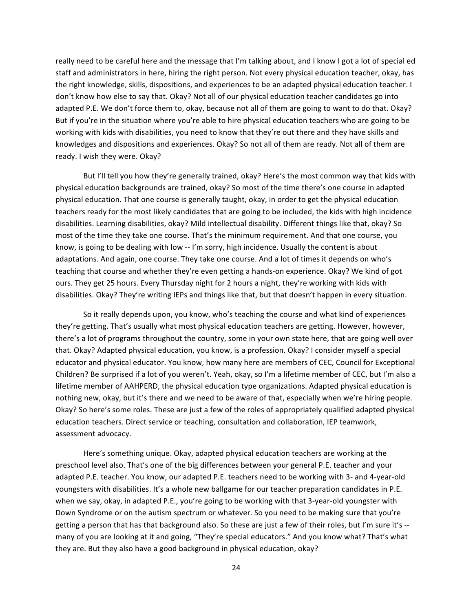really need to be careful here and the message that I'm talking about, and I know I got a lot of special ed staff and administrators in here, hiring the right person. Not every physical education teacher, okay, has the right knowledge, skills, dispositions, and experiences to be an adapted physical education teacher. I don't know how else to say that. Okay? Not all of our physical education teacher candidates go into adapted P.E. We don't force them to, okay, because not all of them are going to want to do that. Okay? But if you're in the situation where you're able to hire physical education teachers who are going to be working with kids with disabilities, you need to know that they're out there and they have skills and knowledges and dispositions and experiences. Okay? So not all of them are ready. Not all of them are ready. I wish they were. Okay?

But I'll tell you how they're generally trained, okay? Here's the most common way that kids with physical education backgrounds are trained, okay? So most of the time there's one course in adapted physical education. That one course is generally taught, okay, in order to get the physical education teachers ready for the most likely candidates that are going to be included, the kids with high incidence disabilities. Learning disabilities, okay? Mild intellectual disability. Different things like that, okay? So most of the time they take one course. That's the minimum requirement. And that one course, you know, is going to be dealing with low -- I'm sorry, high incidence. Usually the content is about adaptations. And again, one course. They take one course. And a lot of times it depends on who's teaching that course and whether they're even getting a hands-on experience. Okay? We kind of got ours. They get 25 hours. Every Thursday night for 2 hours a night, they're working with kids with disabilities. Okay? They're writing IEPs and things like that, but that doesn't happen in every situation.

So it really depends upon, you know, who's teaching the course and what kind of experiences they're getting. That's usually what most physical education teachers are getting. However, however, there's a lot of programs throughout the country, some in your own state here, that are going well over that. Okay? Adapted physical education, you know, is a profession. Okay? I consider myself a special educator and physical educator. You know, how many here are members of CEC, Council for Exceptional Children? Be surprised if a lot of you weren't. Yeah, okay, so I'm a lifetime member of CEC, but I'm also a lifetime member of AAHPERD, the physical education type organizations. Adapted physical education is nothing new, okay, but it's there and we need to be aware of that, especially when we're hiring people. Okay? So here's some roles. These are just a few of the roles of appropriately qualified adapted physical education teachers. Direct service or teaching, consultation and collaboration, IEP teamwork, assessment advocacy.

Here's something unique. Okay, adapted physical education teachers are working at the preschool level also. That's one of the big differences between your general P.E. teacher and your adapted P.E. teacher. You know, our adapted P.E. teachers need to be working with 3- and 4-year-old youngsters with disabilities. It's a whole new ballgame for our teacher preparation candidates in P.E. when we say, okay, in adapted P.E., you're going to be working with that 3-year-old youngster with Down Syndrome or on the autism spectrum or whatever. So you need to be making sure that you're getting a person that has that background also. So these are just a few of their roles, but I'm sure it's -many of you are looking at it and going, "They're special educators." And you know what? That's what they are. But they also have a good background in physical education, okay?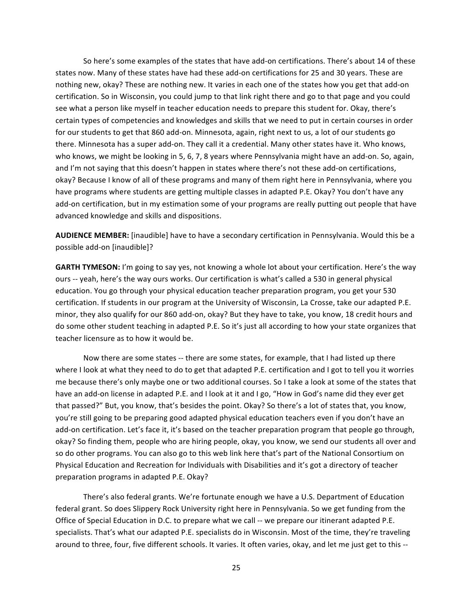So here's some examples of the states that have add-on certifications. There's about 14 of these states now. Many of these states have had these add-on certifications for 25 and 30 years. These are nothing new, okay? These are nothing new. It varies in each one of the states how you get that add-on certification. So in Wisconsin, you could jump to that link right there and go to that page and you could see what a person like myself in teacher education needs to prepare this student for. Okay, there's certain types of competencies and knowledges and skills that we need to put in certain courses in order for our students to get that 860 add-on. Minnesota, again, right next to us, a lot of our students go there. Minnesota has a super add-on. They call it a credential. Many other states have it. Who knows, who knows, we might be looking in 5, 6, 7, 8 years where Pennsylvania might have an add-on. So, again, and I'm not saying that this doesn't happen in states where there's not these add-on certifications, okay? Because I know of all of these programs and many of them right here in Pennsylvania, where you have programs where students are getting multiple classes in adapted P.E. Okay? You don't have any add-on certification, but in my estimation some of your programs are really putting out people that have advanced knowledge and skills and dispositions.

AUDIENCE MEMBER: [inaudible] have to have a secondary certification in Pennsylvania. Would this be a possible add-on [inaudible]?

GARTH TYMESON: I'm going to say yes, not knowing a whole lot about your certification. Here's the way ours -- yeah, here's the way ours works. Our certification is what's called a 530 in general physical education. You go through your physical education teacher preparation program, you get your 530 certification. If students in our program at the University of Wisconsin, La Crosse, take our adapted P.E. minor, they also qualify for our 860 add-on, okay? But they have to take, you know, 18 credit hours and do some other student teaching in adapted P.E. So it's just all according to how your state organizes that teacher licensure as to how it would be.

Now there are some states -- there are some states, for example, that I had listed up there where I look at what they need to do to get that adapted P.E. certification and I got to tell you it worries me because there's only maybe one or two additional courses. So I take a look at some of the states that have an add-on license in adapted P.E. and I look at it and I go, "How in God's name did they ever get that passed?" But, you know, that's besides the point. Okay? So there's a lot of states that, you know, you're still going to be preparing good adapted physical education teachers even if you don't have an add-on certification. Let's face it, it's based on the teacher preparation program that people go through, okay? So finding them, people who are hiring people, okay, you know, we send our students all over and so do other programs. You can also go to this web link here that's part of the National Consortium on Physical Education and Recreation for Individuals with Disabilities and it's got a directory of teacher preparation programs in adapted P.E. Okay?

There's also federal grants. We're fortunate enough we have a U.S. Department of Education federal grant. So does Slippery Rock University right here in Pennsylvania. So we get funding from the Office of Special Education in D.C. to prepare what we call -- we prepare our itinerant adapted P.E. specialists. That's what our adapted P.E. specialists do in Wisconsin. Most of the time, they're traveling around to three, four, five different schools. It varies. It often varies, okay, and let me just get to this --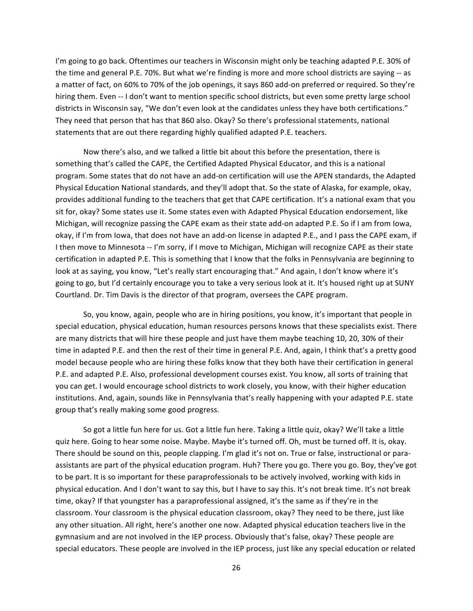I'm going to go back. Oftentimes our teachers in Wisconsin might only be teaching adapted P.E. 30% of the time and general P.E. 70%. But what we're finding is more and more school districts are saying -- as a matter of fact, on 60% to 70% of the job openings, it says 860 add-on preferred or required. So they're hiring them. Even -- I don't want to mention specific school districts, but even some pretty large school districts in Wisconsin say, "We don't even look at the candidates unless they have both certifications." They need that person that has that 860 also. Okay? So there's professional statements, national statements that are out there regarding highly qualified adapted P.E. teachers.

Now there's also, and we talked a little bit about this before the presentation, there is something that's called the CAPE, the Certified Adapted Physical Educator, and this is a national program. Some states that do not have an add-on certification will use the APEN standards, the Adapted Physical Education National standards, and they'll adopt that. So the state of Alaska, for example, okay, provides additional funding to the teachers that get that CAPE certification. It's a national exam that you sit for, okay? Some states use it. Some states even with Adapted Physical Education endorsement, like Michigan, will recognize passing the CAPE exam as their state add-on adapted P.E. So if I am from Iowa, okay, if I'm from Iowa, that does not have an add-on license in adapted P.E., and I pass the CAPE exam, if I then move to Minnesota -- I'm sorry, if I move to Michigan, Michigan will recognize CAPE as their state certification in adapted P.E. This is something that I know that the folks in Pennsylvania are beginning to look at as saying, you know, "Let's really start encouraging that." And again, I don't know where it's going to go, but I'd certainly encourage you to take a very serious look at it. It's housed right up at SUNY Courtland. Dr. Tim Davis is the director of that program, oversees the CAPE program.

So, you know, again, people who are in hiring positions, you know, it's important that people in special education, physical education, human resources persons knows that these specialists exist. There are many districts that will hire these people and just have them maybe teaching 10, 20, 30% of their time in adapted P.E. and then the rest of their time in general P.E. And, again, I think that's a pretty good model because people who are hiring these folks know that they both have their certification in general P.E. and adapted P.E. Also, professional development courses exist. You know, all sorts of training that you can get. I would encourage school districts to work closely, you know, with their higher education institutions. And, again, sounds like in Pennsylvania that's really happening with your adapted P.E. state group that's really making some good progress.

So got a little fun here for us. Got a little fun here. Taking a little quiz, okay? We'll take a little quiz here. Going to hear some noise. Maybe. Maybe it's turned off. Oh, must be turned off. It is, okay. There should be sound on this, people clapping. I'm glad it's not on. True or false, instructional or paraassistants are part of the physical education program. Huh? There you go. There you go. Boy, they've got to be part. It is so important for these paraprofessionals to be actively involved, working with kids in physical education. And I don't want to say this, but I have to say this. It's not break time. It's not break time, okay? If that youngster has a paraprofessional assigned, it's the same as if they're in the classroom. Your classroom is the physical education classroom, okay? They need to be there, just like any other situation. All right, here's another one now. Adapted physical education teachers live in the gymnasium and are not involved in the IEP process. Obviously that's false, okay? These people are special educators. These people are involved in the IEP process, just like any special education or related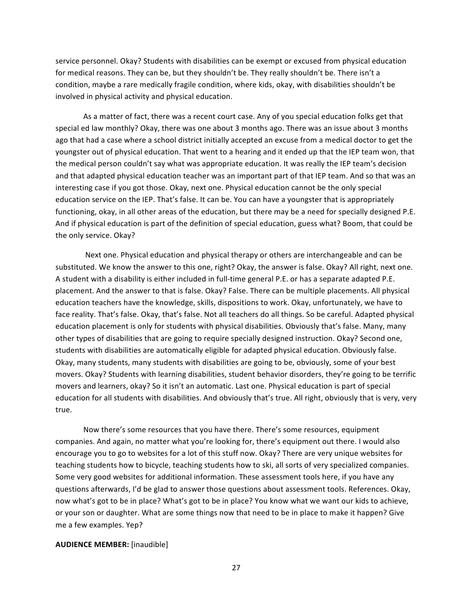service personnel. Okay? Students with disabilities can be exempt or excused from physical education for medical reasons. They can be, but they shouldn't be. They really shouldn't be. There isn't a condition, maybe a rare medically fragile condition, where kids, okay, with disabilities shouldn't be involved in physical activity and physical education.

As a matter of fact, there was a recent court case. Any of you special education folks get that special ed law monthly? Okay, there was one about 3 months ago. There was an issue about 3 months ago that had a case where a school district initially accepted an excuse from a medical doctor to get the youngster out of physical education. That went to a hearing and it ended up that the IEP team won, that the medical person couldn't say what was appropriate education. It was really the IEP team's decision and that adapted physical education teacher was an important part of that IEP team. And so that was an interesting case if you got those. Okay, next one. Physical education cannot be the only special education service on the IEP. That's false. It can be. You can have a youngster that is appropriately functioning, okay, in all other areas of the education, but there may be a need for specially designed P.E. And if physical education is part of the definition of special education, guess what? Boom, that could be the only service. Okay?

Next one. Physical education and physical therapy or others are interchangeable and can be substituted. We know the answer to this one, right? Okay, the answer is false. Okay? All right, next one. A student with a disability is either included in full-time general P.E. or has a separate adapted P.E. placement. And the answer to that is false. Okay? False. There can be multiple placements. All physical education teachers have the knowledge, skills, dispositions to work. Okay, unfortunately, we have to face reality. That's false. Okay, that's false. Not all teachers do all things. So be careful. Adapted physical education placement is only for students with physical disabilities. Obviously that's false. Many, many other types of disabilities that are going to require specially designed instruction. Okay? Second one, students with disabilities are automatically eligible for adapted physical education. Obviously false. Okay, many students, many students with disabilities are going to be, obviously, some of your best movers. Okay? Students with learning disabilities, student behavior disorders, they're going to be terrific movers and learners, okay? So it isn't an automatic. Last one. Physical education is part of special education for all students with disabilities. And obviously that's true. All right, obviously that is very, very true.

Now there's some resources that you have there. There's some resources, equipment companies. And again, no matter what you're looking for, there's equipment out there. I would also encourage you to go to websites for a lot of this stuff now. Okay? There are very unique websites for teaching students how to bicycle, teaching students how to ski, all sorts of very specialized companies. Some very good websites for additional information. These assessment tools here, if you have any questions afterwards, I'd be glad to answer those questions about assessment tools. References. Okay, now what's got to be in place? What's got to be in place? You know what we want our kids to achieve, or your son or daughter. What are some things now that need to be in place to make it happen? Give me a few examples. Yep?

#### **AUDIENCE MEMBER:** [inaudible]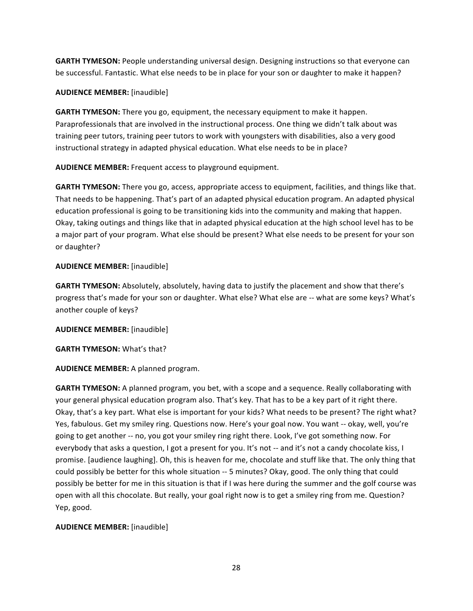**GARTH TYMESON:** People understanding universal design. Designing instructions so that everyone can be successful. Fantastic. What else needs to be in place for your son or daughter to make it happen?

## **AUDIENCE MEMBER:** [inaudible]

**GARTH TYMESON:** There you go, equipment, the necessary equipment to make it happen. Paraprofessionals that are involved in the instructional process. One thing we didn't talk about was training peer tutors, training peer tutors to work with youngsters with disabilities, also a very good instructional strategy in adapted physical education. What else needs to be in place?

**AUDIENCE MEMBER:** Frequent access to playground equipment.

**GARTH TYMESON:** There you go, access, appropriate access to equipment, facilities, and things like that. That needs to be happening. That's part of an adapted physical education program. An adapted physical education professional is going to be transitioning kids into the community and making that happen. Okay, taking outings and things like that in adapted physical education at the high school level has to be a major part of your program. What else should be present? What else needs to be present for your son or daughter?

## **AUDIENCE MEMBER:** [inaudible]

**GARTH TYMESON:** Absolutely, absolutely, having data to justify the placement and show that there's progress that's made for your son or daughter. What else? What else are -- what are some keys? What's another couple of keys?

**AUDIENCE MEMBER:** [inaudible]

**GARTH TYMESON: What's that?** 

**AUDIENCE MEMBER:** A planned program.

**GARTH TYMESON:** A planned program, you bet, with a scope and a sequence. Really collaborating with your general physical education program also. That's key. That has to be a key part of it right there. Okay, that's a key part. What else is important for your kids? What needs to be present? The right what? Yes, fabulous. Get my smiley ring. Questions now. Here's your goal now. You want -- okay, well, you're going to get another -- no, you got your smiley ring right there. Look, I've got something now. For everybody that asks a question, I got a present for you. It's not -- and it's not a candy chocolate kiss, I promise. [audience laughing]. Oh, this is heaven for me, chocolate and stuff like that. The only thing that could possibly be better for this whole situation -- 5 minutes? Okay, good. The only thing that could possibly be better for me in this situation is that if I was here during the summer and the golf course was open with all this chocolate. But really, your goal right now is to get a smiley ring from me. Question? Yep, good.

# **AUDIENCE MEMBER:** [inaudible]